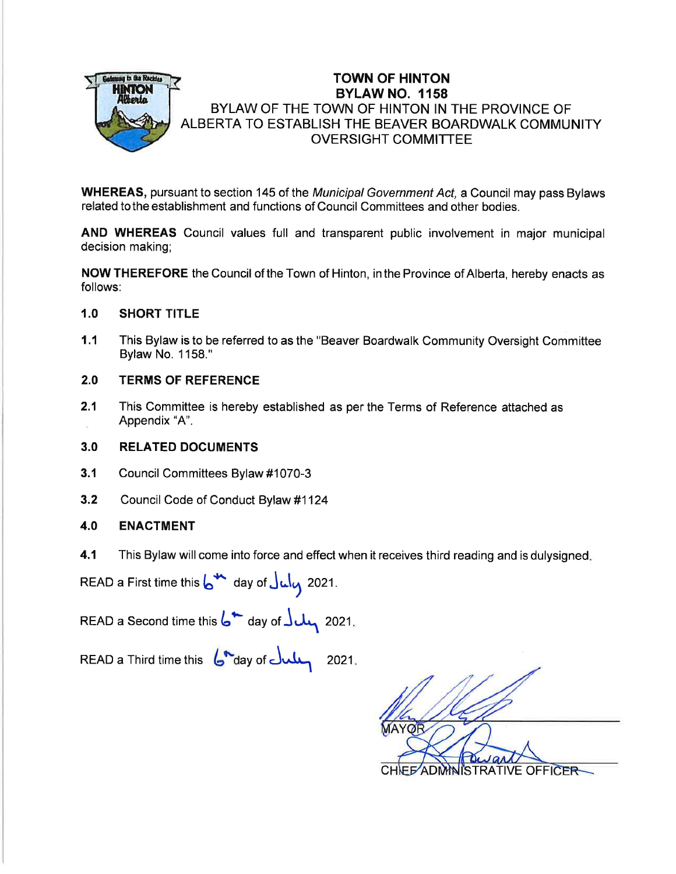

# TOWN OF HINTON **BYLAW NO. 1158** BYLAW OF THE TOWN OF HINTON IN THE PROVINCE OF ALBERTA TO ESTABLISH THE BEAVER BOARDWALK COMMUNITY OVERSIGHT COMMITTEE

WHEREAS, pursuant to section 145 of the *Municipal Government Act*, a Council may pass Bylaws related tothe establishment and functions of Council Committees and other bodies.

AND WHEREAS Council values full and transparent public involvement in major municipal decision making;

NOW THEREFORE the Council of the Town of Hinton, in the Province of Alberta, hereby enacts as follows:

### 1.0 SHORT TITLE

1.1 This Bylaw is to be referred to as the "Beaver Boardwalk Community Oversight Committee Bylaw No. 1158."

### 2.0 TERMS OF REFERENCE

2.1 This Committee is hereby established as per the Terms of Reference attached as Appendix "A".

### 3.0 RELATED DOCUMENTS

- 3.1 Council Committees Bylaw #1070-3
- 3.2 Council Code of Conduct Bylaw #1124

## 4.0 ENACTMENT

4.1 This Bylaw will come into force and effect when it receives third reading and is dulysigned.

READ a First time this  $\int^{\infty}$  day of  $\int u \, u$  2021.

READ a Second time this  $6*$  day of  $\overline{\bigcup_{i=1}^{n} 2021}$ .

READ a Third time this  $\int_{\alpha}^{\infty}$  day of  $\int_{\alpha}$  2021.

YOR CHIEF ADMINISTRATIVE OFFICER-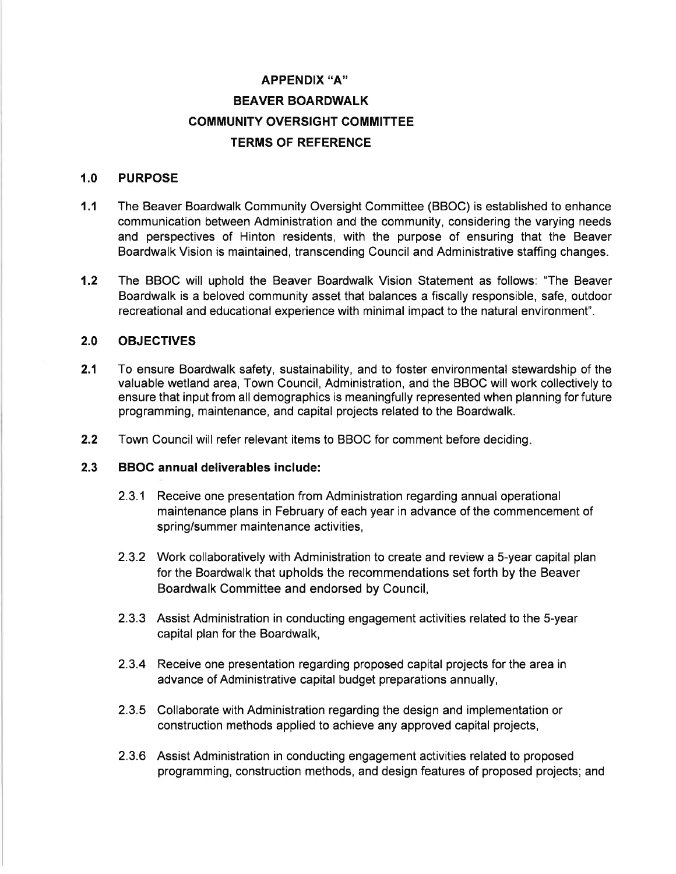# APPENDIX "A'' BEAVER BOARDWALK COMMUNITY OVERSIGHT COMMITTEE TERMS OF REFERENCE

### {.0 PURPOSE

- 1.1 The Beaver Boardwalk Community Oversight Committee (BBOC) is established to enhance communication between Administration and the community, considering the varying needs and perspectives of Hinton residents, with the purpose of ensuring that the Beaver Boardwalk Vision is maintained, transcending Council and Administrative staffing changes.
- 1.2 The BBOC will uphold the Beaver Boardwalk Vision Statement as follows: "The Beaver Boardwalk is a beloved community asset that balances a fiscally responsible, safe, outdoor recreational and educational experience with minimal impact to the natural environment".

### 2.0 OBJECTIVES

- 2.1 To ensure Boardwalk safety, sustainability, and to foster environmental stewardship of the valuable wetland area, Town Council, Administration, and the BBOC will work collectively to ensure that input from all demographics is meaningfully represented when planning for future programming, maintenance, and capital projects related to the Boardwalk.
- 2.2 Town Council will refer relevant items to BBOC for comment before deciding.

### 2.3 BBOC annual deliverables include:

- 2.3.1 Receive one presentation from Administration regarding annual operational maintenance plans in February of each year in advance of the commencement of spring/summer maintenance activities,
- 2.3.2 Work collaboratively with Administration to create and review a S-year capital plan for the Boardwalk that upholds the recommendations set forth by the Beaver Boardwalk Committee and endorsed by Council,
- 2.3.3 Assist Administration in conducting engagement activities related to the S-year capital plan for the Boardwalk,
- 2.3.4 Receive one presentation regarding proposed capital projects for the area in advance of Administrative capital budget preparations annually,
- 2.3.5 Collaborate with Administration regarding the design and implementation or construction methods applied to achieve any approved capital projects,
- 2.3.6 Assist Administration in conducting engagement activities related to proposed programming, construction methods, and design features of proposed projects; and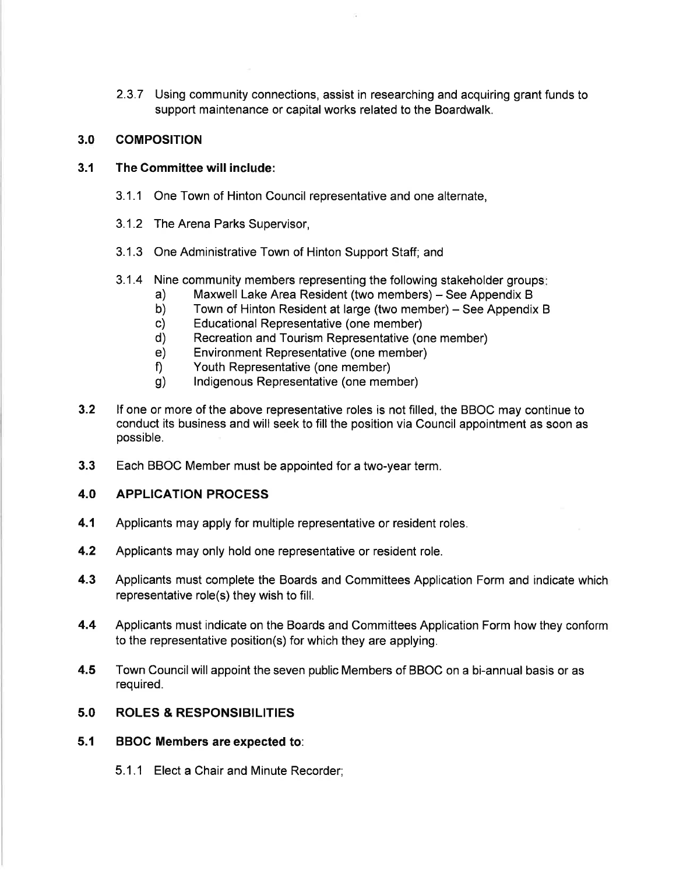2.3.7 Using community connections, assist in researching and acquiring grant funds to support maintenance or capital works related to the Boardwalk.

#### 3.0 **COMPOSITION**

#### 3.1 The Committee will include:

- 3.1 .1 One Town of Hinton Council representative and one alternate,
- 3.1.2 The Arena Parks Supervisor,
- 3.1.3 One Administrative Town of Hinton Support Staff; and
- 3.1.4 Nine community members representing the following stakeholder groups
	- Maxwell Lake Area Resident (two members) See Appendix B a)
	- Town of Hinton Resident at large (two member) See Appendix B b)
	- Educational Representative (one member) c)
	- Recreation and Tourism Representative (one member) d)
	- Environment Representative (one member) e)
	- Youth Representative (one member) f)
	- lndigenous Representative (one member) g)
- 3.2 If one or more of the above representative roles is not filled, the BBOC may continue to conduct its business and will seek to fill the position via Council appointment as soon as possible.
- 3.3 Each BBOC Member must be appointed for a two-year term.

## 4.0 APPLICATION PROCESS

- 4.1 Applicants may apply for multiple representative or resident roles.
- 4.2 Applicants may only hold one representative or resident role.
- **4.3** Applicants must complete the Boards and Committees Application Form and indicate which representative role(s) they wish to fill.
- 4.4 Applicants must indicate on the Boards and Committees Application Form how they conform to the representative position(s) for which they are applying.
- 4.5 Town Council will appoint the seven public Members of BBOC on a bi-annual basis or as required.

## 5.0 ROLES & RESPONSIBILITIES

- BBOC Members are expected to: 5.1
	- 5.1 .1 Elect a Chair and Minute Recorder;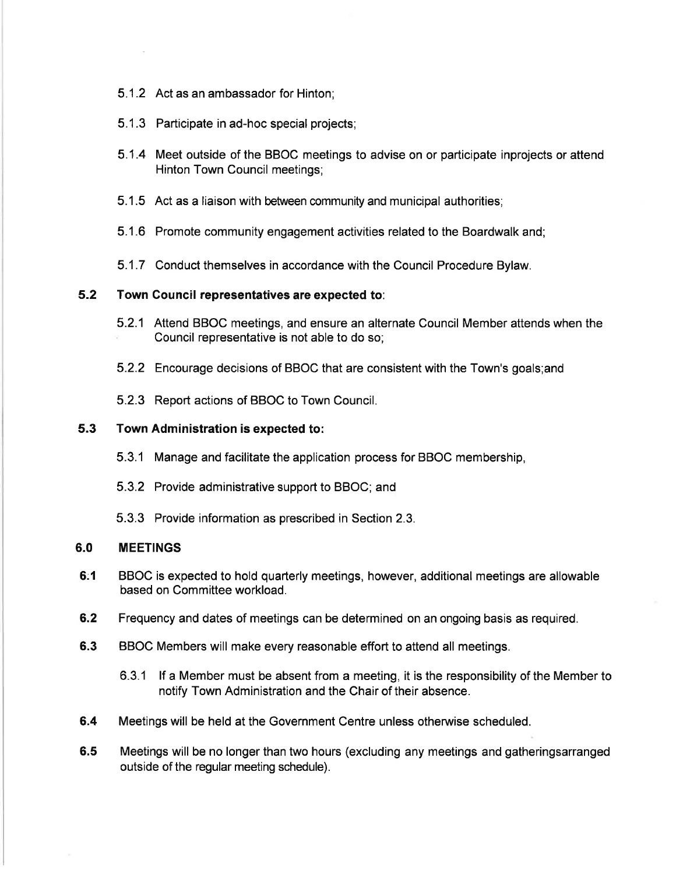- 5.1.2 Act as an ambassador for Hinton'
- 5.1.3 Participate in ad-hoc special projects;
- 5.1 .4 Meet outside of the BBOC meetings to advise on or participate inprojects or attend Hinton Town Council meetings;
- 5.1.5 Act as a liaison with between community and municipal authorities;
- 5.1.6 Promote community engagement activities related to the Boardwalk and;
- 5.1.7 Conduct themselves in accordance with the Council Procedure Bylaw.

### 5.2 Town Gouncil representatives are expected to:

- 5.2.1 Attend BBOC meetings, and ensure an alternate Council Member attends when the Council representative is not able to do so;
- 5.2.2 Encourage decisions of BBOC that are consistent with the Town's goals;and
- 5.2.3 Report actions of BBOC to Town Council.

#### 5.3 Town Administration is expected to:

- 5.3.1 Manage and facilitate the application process for BBOC membership,
- 5.3.2 Provide administrative support to BBOC; and
- 5.3.3 Provide information as prescribed in Section 2.3.

#### MEETINGS 6.0

- BBOC is expected to hold quarterly meetings, however, additional meetings are allowable based on Committee workload. 6:1
- Frequency and dates of meetings can be determined on an ongoing basis as required. 6.2
- BBOC Members will make every reasonable effort to attend all meetings. 6.3
	- 6.3.1 lf a Member must be absent from a meeting, it is the responsibility of the Member to notify Town Administration and the Chair of their absence.
- Meetings will be held at the Government Centre unless otherwise scheduled. 6.4
- Meetings will be no longer than two hours (excluding any meetings and gatheringsarranged outside of the regular meeting schedule). 6.5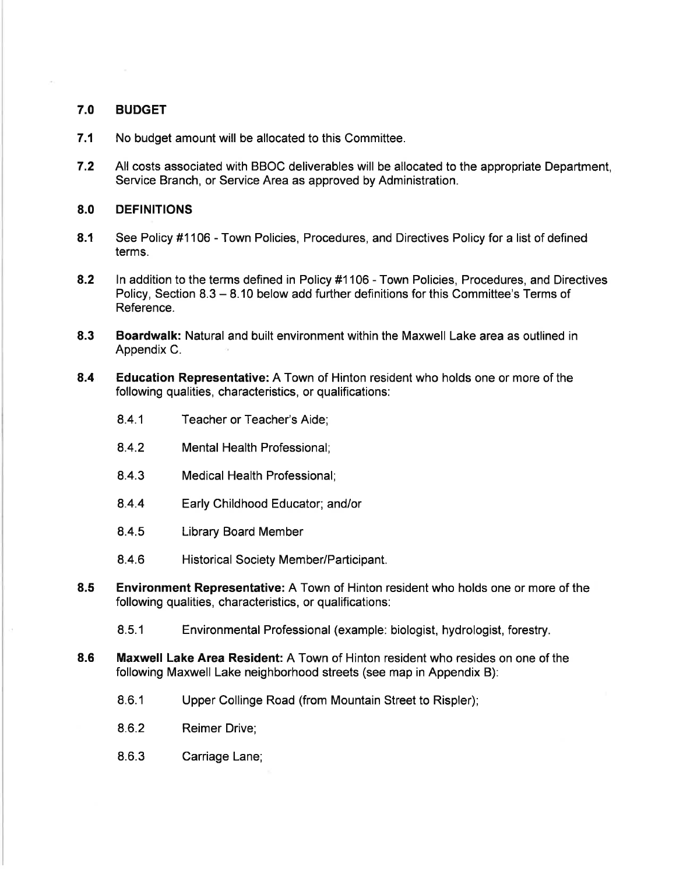#### 7.0 **BUDGET**

- 7.1 No budget amount will be allocated to this Committee.
- 7.2 All costs associated with BBOC deliverables will be allocated to the appropriate Department, Service Branch, or Service Area as approved by Administration.

#### 8.0 DEFINITIONS

- 8.1 See Policy #1106 Town Policies, Procedures, and Directives Policy for a list of defined terms.
- 8.2 In addition to the terms defined in Policy #1106 Town Policies, Procedures, and Directives Policy, Section 8.3 - 8.10 below add further definitions for this Committee's Terms of Reference.
- Boardwalk: Natural and built environment within the Maxwell Lake area as outlined in Appendix C. 8.3
- 8.4 Education Representative: A Town of Hinton resident who holds one or more of the following qualities, characteristics, or qualifications:
	- 8.4.1 Teacher or Teacher's Aide;
	- 8.4.2 Mental Health Professional;
	- 8.4.3 Medical Health Professional;
	- 8.4.4 Early Childhood Educator; and/or
	- 8.4.5 Library Board Member
	- 8.4.6 Historical Society Member/Participant.
- 8.5 Environment Representative: A Town of Hinton resident who holds one or more of the following qualities, characteristics, or qualifications:
	- 8.5.1 Environmental Professional (example: biologist, hydrologist, forestry.
- 8.6 Maxwell Lake Area Resident: A Town of Hinton resident who resides on one of the following Maxwell Lake neighborhood streets (see map in Appendix B):
	- 8.6.1 Upper Collinge Road (from Mountain Street to Rispler);
	- 8.6.2 Reimer Drive;
	- 8.6.3 Carriage Lane;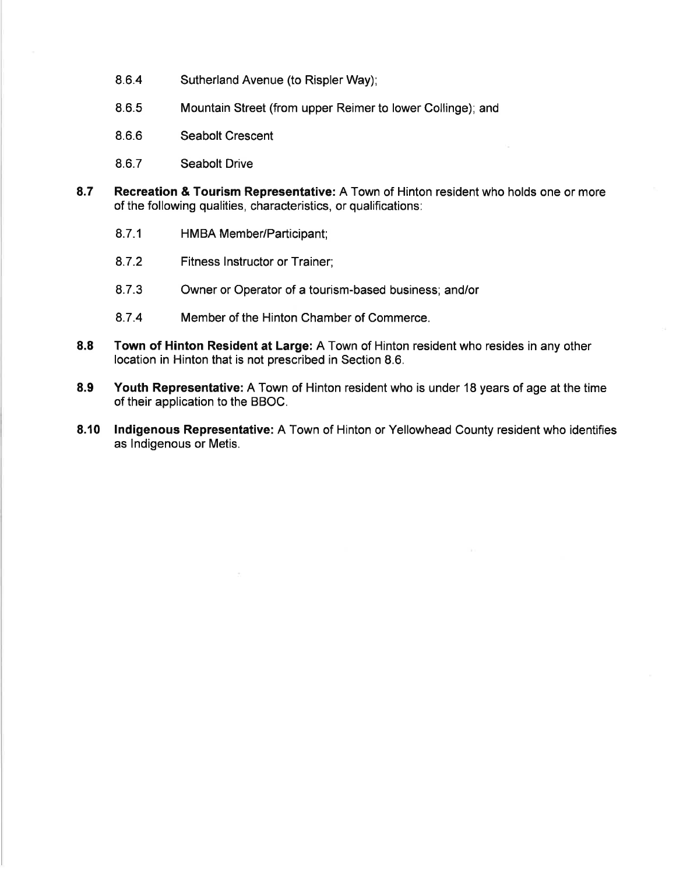- 8.6.4 Sutherland Avenue (to Rispler Way);
- 8.6.5 Mountain Street (from upper Reimer to lower Collinge); and
- 8.6.6 Seabolt Crescent
- 8.6.7 Seabolt Drive
- 8.7 Recreation & Tourism Representative: A Town of Hinton resident who holds one or more of the following qualities, characteristics, or qualifications:
	- 8.7.1 HMBA Member/Participant;
	- 8.7.2 Fitness lnstructor or Trainer;
	- 8.7.3 Owner or Operator of a tourism-based business; and/or
	- 8.7.4 Member of the Hinton Chamber of Commerce.
- Town of Hinton Resident at Large: A Town of Hinton resident who resides in any other location in Hinton that is not prescribed in Section 8.6. 8.8
- Youth Representative: A Town of Hinton resident who is under 18 years of age at the time of their application to the BBOC. 8.9
- 8.10 Indigenous Representative: A Town of Hinton or Yellowhead County resident who identifies as lndigenous or Metis.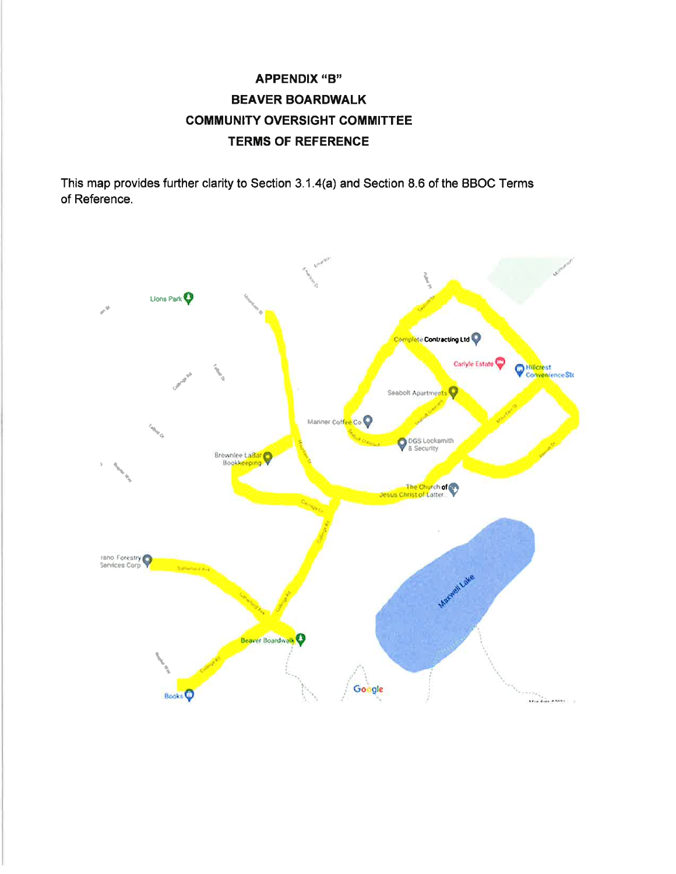# APPENDIX "B'' BEAVER BOARDWALK COMMUNITY OVERSIGHT COMMITTEE TERMS OF REFERENCE

This map provides further clarity to Section 3.1.4(a) and Section 8.6 of the BBOC Terms of Reference.